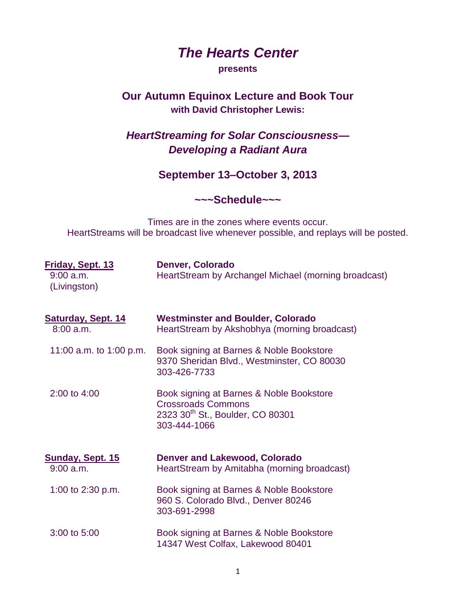## *The Hearts Center*

## **presents**

## **Our Autumn Equinox Lecture and Book Tour with David Christopher Lewis:**

## *HeartStreaming for Solar Consciousness— Developing a Radiant Aura*

**September 13–October 3, 2013**

**~~~Schedule~~~**

Times are in the zones where events occur. HeartStreams will be broadcast live whenever possible, and replays will be posted.

| Friday, Sept. 13<br>$9:00$ a.m.<br>(Livingston) | Denver, Colorado<br>HeartStream by Archangel Michael (morning broadcast)                                                              |
|-------------------------------------------------|---------------------------------------------------------------------------------------------------------------------------------------|
| <b>Saturday, Sept. 14</b><br>$8:00$ a.m.        | <b>Westminster and Boulder, Colorado</b><br>HeartStream by Akshobhya (morning broadcast)                                              |
| 11:00 a.m. to 1:00 p.m.                         | Book signing at Barnes & Noble Bookstore<br>9370 Sheridan Blvd., Westminster, CO 80030<br>303-426-7733                                |
| 2:00 to 4:00                                    | Book signing at Barnes & Noble Bookstore<br><b>Crossroads Commons</b><br>2323 30 <sup>th</sup> St., Boulder, CO 80301<br>303-444-1066 |
| Sunday, Sept. 15<br>$9:00$ a.m.                 | <b>Denver and Lakewood, Colorado</b><br>HeartStream by Amitabha (morning broadcast)                                                   |
| 1:00 to 2:30 p.m.                               | Book signing at Barnes & Noble Bookstore<br>960 S. Colorado Blvd., Denver 80246<br>303-691-2998                                       |
| 3:00 to 5:00                                    | Book signing at Barnes & Noble Bookstore<br>14347 West Colfax, Lakewood 80401                                                         |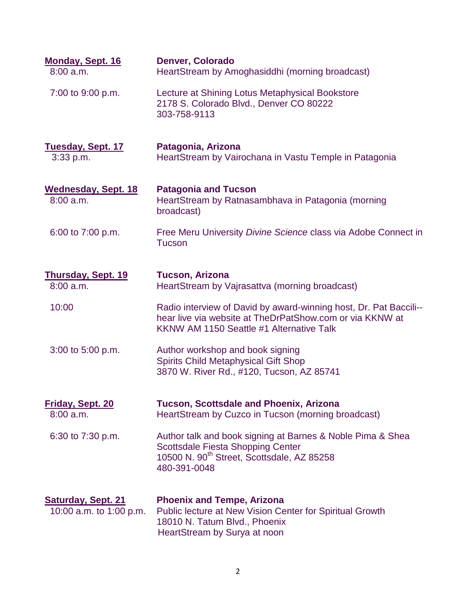| <b>Monday, Sept. 16</b><br>$8:00$ a.m.               | <b>Denver, Colorado</b><br>HeartStream by Amoghasiddhi (morning broadcast)                                                                                                       |
|------------------------------------------------------|----------------------------------------------------------------------------------------------------------------------------------------------------------------------------------|
| 7:00 to 9:00 p.m.                                    | Lecture at Shining Lotus Metaphysical Bookstore<br>2178 S. Colorado Blvd., Denver CO 80222<br>303-758-9113                                                                       |
| <b>Tuesday, Sept. 17</b><br>3:33 p.m.                | Patagonia, Arizona<br>HeartStream by Vairochana in Vastu Temple in Patagonia                                                                                                     |
| <b>Wednesday, Sept. 18</b><br>$8:00$ a.m.            | <b>Patagonia and Tucson</b><br>HeartStream by Ratnasambhava in Patagonia (morning<br>broadcast)                                                                                  |
| 6:00 to 7:00 p.m.                                    | Free Meru University Divine Science class via Adobe Connect in<br><b>Tucson</b>                                                                                                  |
| Thursday, Sept. 19<br>$8:00$ a.m.                    | <b>Tucson, Arizona</b><br>HeartStream by Vajrasattva (morning broadcast)                                                                                                         |
| 10:00                                                | Radio interview of David by award-winning host, Dr. Pat Baccili--<br>hear live via website at TheDrPatShow.com or via KKNW at<br>KKNW AM 1150 Seattle #1 Alternative Talk        |
| 3:00 to 5:00 p.m.                                    | Author workshop and book signing<br><b>Spirits Child Metaphysical Gift Shop</b><br>3870 W. River Rd., #120, Tucson, AZ 85741                                                     |
| Friday, Sept. 20<br>$8:00$ a.m.                      | <b>Tucson, Scottsdale and Phoenix, Arizona</b><br>HeartStream by Cuzco in Tucson (morning broadcast)                                                                             |
| 6:30 to 7:30 p.m.                                    | Author talk and book signing at Barnes & Noble Pima & Shea<br><b>Scottsdale Fiesta Shopping Center</b><br>10500 N. 90 <sup>th</sup> Street, Scottsdale, AZ 85258<br>480-391-0048 |
| <b>Saturday, Sept. 21</b><br>10:00 a.m. to 1:00 p.m. | <b>Phoenix and Tempe, Arizona</b><br><b>Public lecture at New Vision Center for Spiritual Growth</b><br>18010 N. Tatum Blvd., Phoenix<br>HeartStream by Surya at noon            |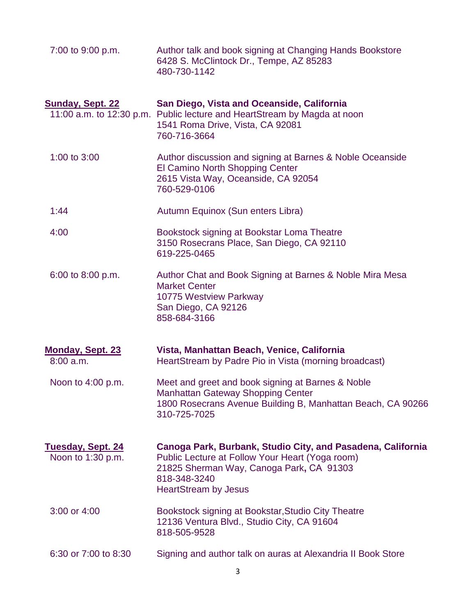| 7:00 to 9:00 p.m.                                   | Author talk and book signing at Changing Hands Bookstore<br>6428 S. McClintock Dr., Tempe, AZ 85283<br>480-730-1142                                                                                       |
|-----------------------------------------------------|-----------------------------------------------------------------------------------------------------------------------------------------------------------------------------------------------------------|
| <b>Sunday, Sept. 22</b><br>11:00 a.m. to 12:30 p.m. | San Diego, Vista and Oceanside, California<br>Public lecture and HeartStream by Magda at noon<br>1541 Roma Drive, Vista, CA 92081<br>760-716-3664                                                         |
| 1:00 to 3:00                                        | Author discussion and signing at Barnes & Noble Oceanside<br>El Camino North Shopping Center<br>2615 Vista Way, Oceanside, CA 92054<br>760-529-0106                                                       |
| 1:44                                                | Autumn Equinox (Sun enters Libra)                                                                                                                                                                         |
| 4:00                                                | Bookstock signing at Bookstar Loma Theatre<br>3150 Rosecrans Place, San Diego, CA 92110<br>619-225-0465                                                                                                   |
| 6:00 to 8:00 p.m.                                   | Author Chat and Book Signing at Barnes & Noble Mira Mesa<br><b>Market Center</b><br>10775 Westview Parkway<br>San Diego, CA 92126<br>858-684-3166                                                         |
| Monday, Sept. 23<br>$8:00$ a.m.                     | Vista, Manhattan Beach, Venice, California<br>HeartStream by Padre Pio in Vista (morning broadcast)                                                                                                       |
| Noon to 4:00 p.m.                                   | Meet and greet and book signing at Barnes & Noble<br><b>Manhattan Gateway Shopping Center</b><br>1800 Rosecrans Avenue Building B, Manhattan Beach, CA 90266<br>310-725-7025                              |
| <u>Tuesday, Sept. 24</u><br>Noon to 1:30 p.m.       | Canoga Park, Burbank, Studio City, and Pasadena, California<br>Public Lecture at Follow Your Heart (Yoga room)<br>21825 Sherman Way, Canoga Park, CA 91303<br>818-348-3240<br><b>HeartStream by Jesus</b> |
| 3:00 or 4:00                                        | Bookstock signing at Bookstar, Studio City Theatre<br>12136 Ventura Blvd., Studio City, CA 91604<br>818-505-9528                                                                                          |
| 6:30 or 7:00 to 8:30                                | Signing and author talk on auras at Alexandria II Book Store                                                                                                                                              |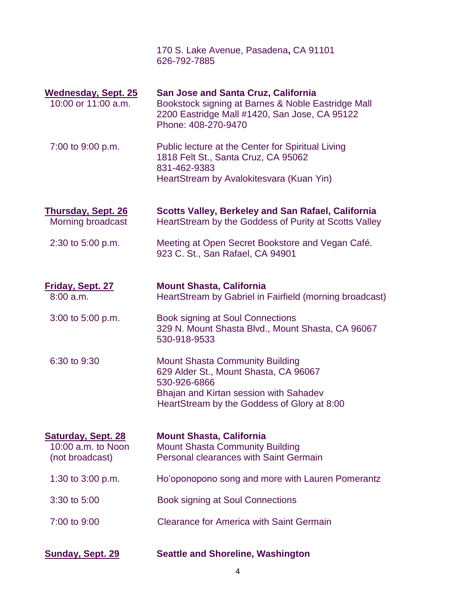170 S. Lake Avenue, Pasadena**,** CA 91101 626-792-7885

| <b>Wednesday, Sept. 25</b><br>10:00 or 11:00 a.m.                  | <b>San Jose and Santa Cruz, California</b><br>Bookstock signing at Barnes & Noble Eastridge Mall<br>2200 Eastridge Mall #1420, San Jose, CA 95122<br>Phone: 408-270-9470                 |
|--------------------------------------------------------------------|------------------------------------------------------------------------------------------------------------------------------------------------------------------------------------------|
| 7:00 to 9:00 p.m.                                                  | Public lecture at the Center for Spiritual Living<br>1818 Felt St., Santa Cruz, CA 95062<br>831-462-9383<br>HeartStream by Avalokitesvara (Kuan Yin)                                     |
| <b>Thursday, Sept. 26</b><br>Morning broadcast                     | <b>Scotts Valley, Berkeley and San Rafael, California</b><br>HeartStream by the Goddess of Purity at Scotts Valley                                                                       |
| 2:30 to 5:00 p.m.                                                  | Meeting at Open Secret Bookstore and Vegan Café.<br>923 C. St., San Rafael, CA 94901                                                                                                     |
| <b>Friday, Sept. 27</b><br>$8:00$ a.m.                             | <b>Mount Shasta, California</b><br>HeartStream by Gabriel in Fairfield (morning broadcast)                                                                                               |
| 3:00 to 5:00 p.m.                                                  | <b>Book signing at Soul Connections</b><br>329 N. Mount Shasta Blvd., Mount Shasta, CA 96067<br>530-918-9533                                                                             |
| 6:30 to 9:30                                                       | <b>Mount Shasta Community Building</b><br>629 Alder St., Mount Shasta, CA 96067<br>530-926-6866<br>Bhajan and Kirtan session with Sahadev<br>HeartStream by the Goddess of Glory at 8:00 |
| <b>Saturday, Sept. 28</b><br>10:00 a.m. to Noon<br>(not broadcast) | <b>Mount Shasta, California</b><br><b>Mount Shasta Community Building</b><br>Personal clearances with Saint Germain                                                                      |
| 1:30 to 3:00 p.m.                                                  | Ho'oponopono song and more with Lauren Pomerantz                                                                                                                                         |
| 3:30 to 5:00                                                       | <b>Book signing at Soul Connections</b>                                                                                                                                                  |
| 7:00 to 9:00                                                       | <b>Clearance for America with Saint Germain</b>                                                                                                                                          |
| <b>Sunday, Sept. 29</b>                                            | <b>Seattle and Shoreline, Washington</b>                                                                                                                                                 |